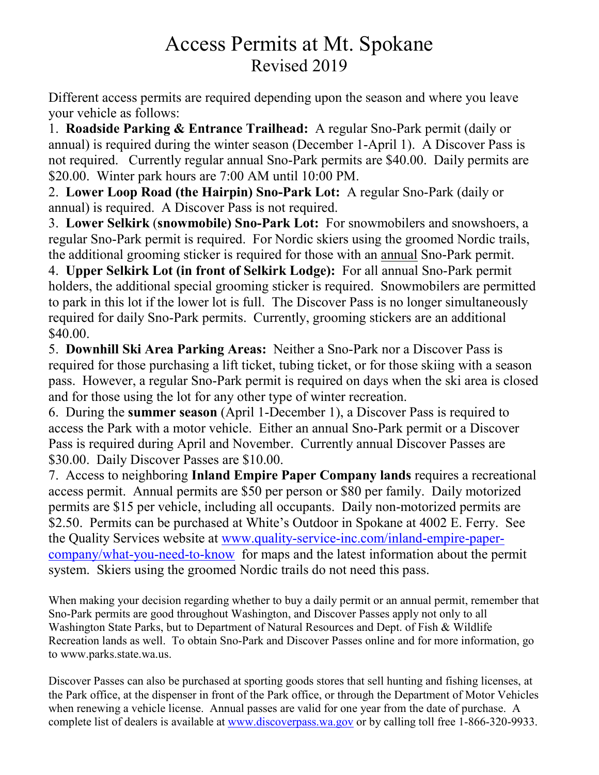## Access Permits at Mt. Spokane Revised 2019

Different access permits are required depending upon the season and where you leave your vehicle as follows:

1. **Roadside Parking & Entrance Trailhead:** A regular Sno-Park permit (daily or annual) is required during the winter season (December 1-April 1). A Discover Pass is not required. Currently regular annual Sno-Park permits are \$40.00. Daily permits are \$20.00. Winter park hours are 7:00 AM until 10:00 PM.

2. **Lower Loop Road (the Hairpin) Sno-Park Lot:** A regular Sno-Park (daily or annual) is required. A Discover Pass is not required.

3. **Lower Selkirk** (**snowmobile) Sno-Park Lot:** For snowmobilers and snowshoers, a regular Sno-Park permit is required. For Nordic skiers using the groomed Nordic trails, the additional grooming sticker is required for those with an annual Sno-Park permit.

4. **Upper Selkirk Lot (in front of Selkirk Lodge):** For all annual Sno-Park permit holders, the additional special grooming sticker is required. Snowmobilers are permitted to park in this lot if the lower lot is full. The Discover Pass is no longer simultaneously required for daily Sno-Park permits. Currently, grooming stickers are an additional \$40.00.

5. **Downhill Ski Area Parking Areas:** Neither a Sno-Park nor a Discover Pass is required for those purchasing a lift ticket, tubing ticket, or for those skiing with a season pass. However, a regular Sno-Park permit is required on days when the ski area is closed and for those using the lot for any other type of winter recreation.

6. During the **summer season** (April 1-December 1), a Discover Pass is required to access the Park with a motor vehicle. Either an annual Sno-Park permit or a Discover Pass is required during April and November. Currently annual Discover Passes are \$30.00. Daily Discover Passes are \$10.00.

7. Access to neighboring **Inland Empire Paper Company lands** requires a recreational access permit. Annual permits are \$50 per person or \$80 per family. Daily motorized permits are \$15 per vehicle, including all occupants. Daily non-motorized permits are \$2.50. Permits can be purchased at White's Outdoor in Spokane at 4002 E. Ferry. See the Quality Services website at www.quality-service-inc.com/inland-empire-papercompany/what-you-need-to-know for maps and the latest information about the permit system. Skiers using the groomed Nordic trails do not need this pass.

When making your decision regarding whether to buy a daily permit or an annual permit, remember that Sno-Park permits are good throughout Washington, and Discover Passes apply not only to all Washington State Parks, but to Department of Natural Resources and Dept. of Fish & Wildlife Recreation lands as well. To obtain Sno-Park and Discover Passes online and for more information, go to www.parks.state.wa.us.

Discover Passes can also be purchased at sporting goods stores that sell hunting and fishing licenses, at the Park office, at the dispenser in front of the Park office, or through the Department of Motor Vehicles when renewing a vehicle license. Annual passes are valid for one year from the date of purchase. A complete list of dealers is available at www.discoverpass.wa.gov or by calling toll free 1-866-320-9933.